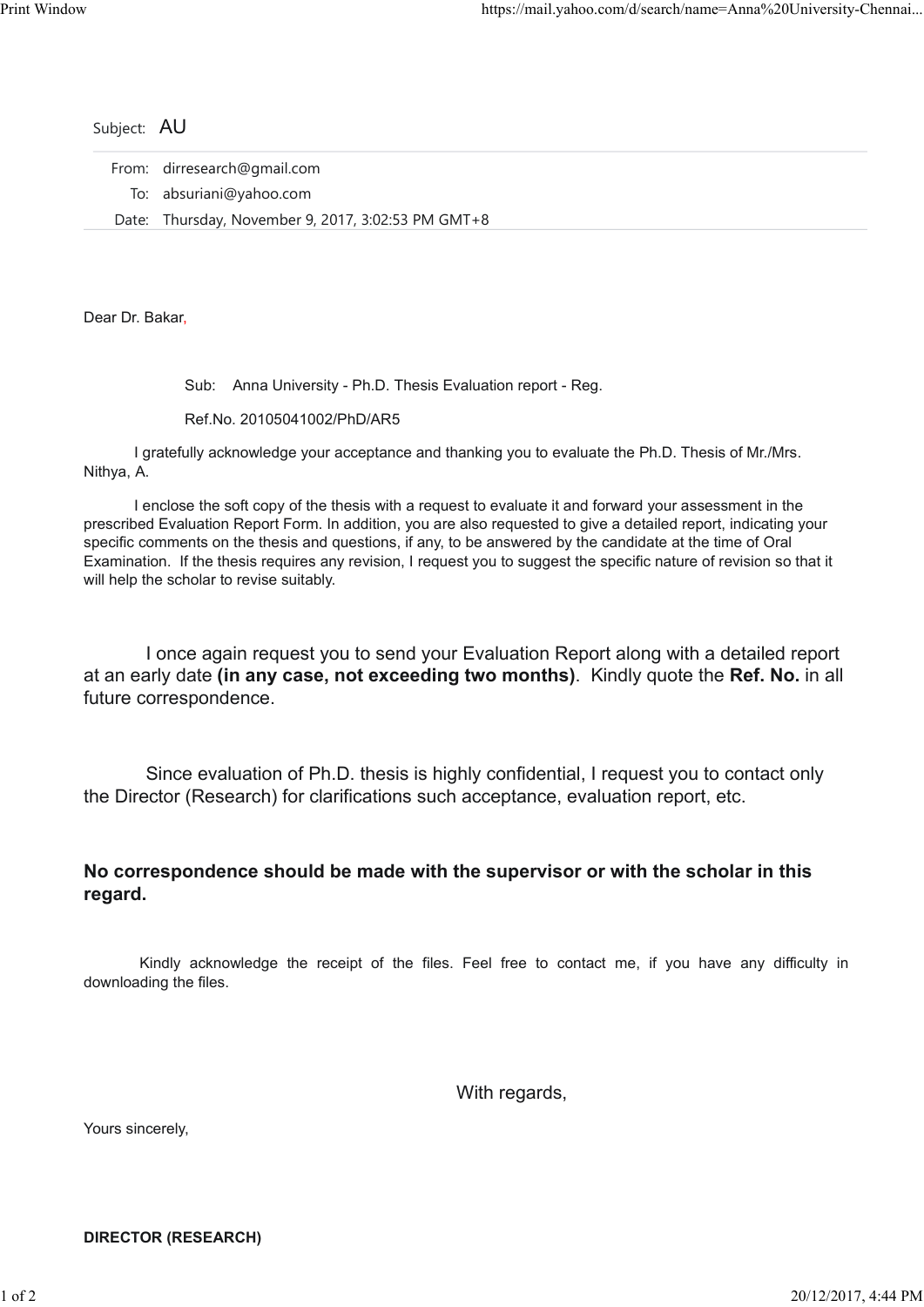|                 | https://mail.yahoo.com/d/search/name=Anna%20University-         |
|-----------------|-----------------------------------------------------------------|
|                 |                                                                 |
|                 |                                                                 |
|                 |                                                                 |
| Subject: AU     |                                                                 |
| From:           | dirresearch@gmail.com                                           |
|                 | To: absuriani@yahoo.com                                         |
| Date:           | Thursday, November 9, 2017, 3:02:53 PM GMT+8                    |
| Dear Dr. Bakar, |                                                                 |
|                 |                                                                 |
|                 | Anna University - Ph.D. Thesis Evaluation report - Reg.<br>Sub: |
|                 | $D_{\alpha}f N_{\alpha}$ 20105011002/DbD/ADE                    |

Ref.No. 20105041002/PhD/AR5

 I gratefully acknowledge your acceptance and thanking you to evaluate the Ph.D. Thesis of Mr./Mrs. Nithya, A.

 I enclose the soft copy of the thesis with a request to evaluate it and forward your assessment in the prescribed Evaluation Report Form. In addition, you are also requested to give a detailed report, indicating your specific comments on the thesis and questions, if any, to be answered by the candidate at the time of Oral Examination. If the thesis requires any revision, I request you to suggest the specific nature of revision so that it will help the scholar to revise suitably.

 I once again request you to send your Evaluation Report along with a detailed report at an early date (in any case, not exceeding two months). Kindly quote the Ref. No. in all future correspondence. Ition. If the thesis requires any revision, I request you to suggest the specific nature of revision so that it<br>the scholar to revise suitably.<br>
I once again request you to send your Evaluation Report along with a detailed

 Since evaluation of Ph.D. thesis is highly confidential, I request you to contact only the Director (Research) for clarifications such acceptance, evaluation report, etc.

## No correspondence should be made with the supervisor or with the scholar in this regard.

downloading the files. regard.<br>
Kindly acknowledge the receipt of the files. Feel free to contact me, if you have any difficulty in<br>
downloading the files.<br>
With regards,<br>
Nours sincerely,<br>
DIRECTOR (RESEARCH)<br>  $1 of 2$ 

With regards,

Yours sincerely,